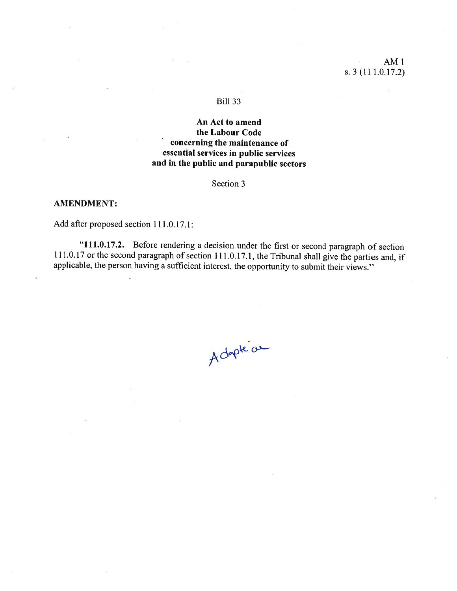# AMI s. 3 (11 1.0.17.2)

## **Bill 33**

# An Act to amend the Labour Code concerning the maintenance of essential services in public services and in the public and parapublic sectors

Section 3

### AMENDMENT:

Add after proposed section 111.0.17.1:

"111.0.17.2. Before rendering <sup>a</sup> decision under the first or second paragraph of section 111.0.17 or the second paragraph of section 111.0.17.1, the Tribunal shall give the parties and, if applicable, the person having a sufficient interest, the opportunity to submit their views."

Adopte a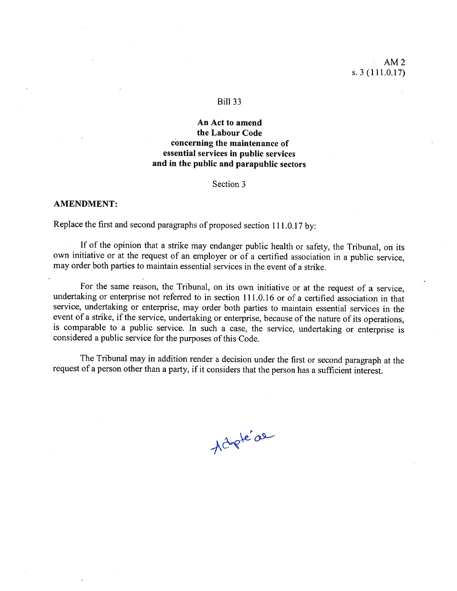## AM2 s.  $3(111.0.17)$

#### Biil 33

# An Act to amend the Labour Code concerning the maintenance of essential services in public services and in the public and parapublic sectors

Section 3

### AMENDMENT:

Replace the first and second paragraphs of proposed section 111.0.17 by:

If of the opinion that <sup>a</sup> strike may endanger public health or safety, the Tribunal, on its own initiative or at the request of an employer or of <sup>a</sup> certified association in <sup>a</sup> public service, may order both parties to maintain essential services in the event of <sup>a</sup> strike.

For the same reason, the Tribunal, on its own initiative or at the request of <sup>a</sup> service, undertaking or enterprise not referred to in section 111.0.16 or of a certified association in that service, undertaking or enterprise, may order both parties to maintain essential services in the event of a strike, if the service, undertaking or enterprise, because of the nature of its operations, is comparable to a public service. In such a case, the service, undertaking or enterprise is considered a public service for the purposes of this Code.

The Tribunal may in addition render <sup>a</sup> decision under the first or second paragrap<sup>h</sup> at the request of <sup>a</sup> person other than <sup>a</sup> party, if it considers that the person has <sup>a</sup> sufficient interest.

Actopte ae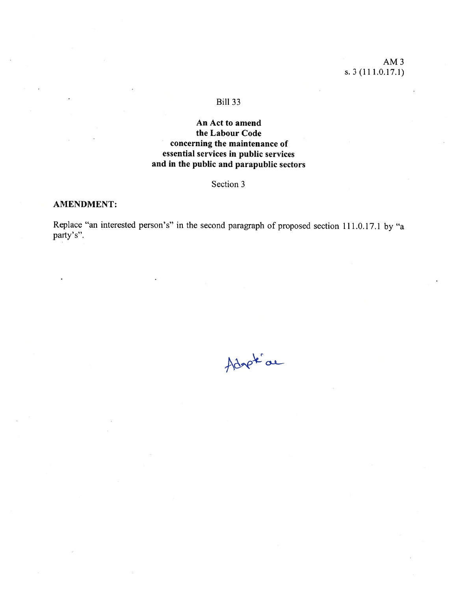## BiIl 33

# An Act to amend the Labour Code concerning the maintenance of essential services in public services and in the public and parapublic sectors

## Section 3

## AMENDMENT:

Replace "an interested person's" in the second paragraph of proposed section 111.0.17.1 by "a party's".

Adapté de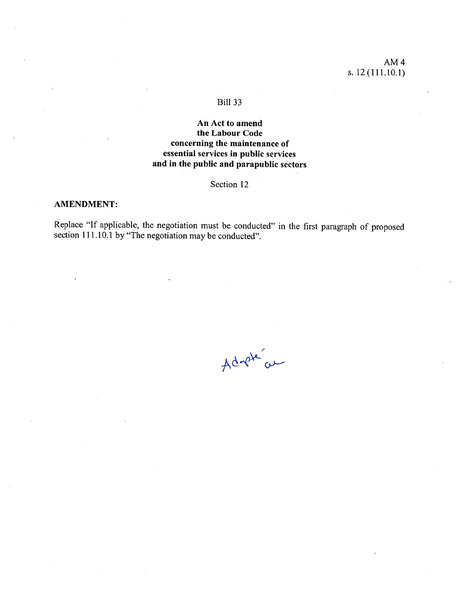AM4 s. 12 (111.10.1)

## BilI 33

# An Act to amend the Labour Code concerning the maintenance of essential services in public services and in the public and parapublic sectors

Section 12

## AMENDMENT:

Replace "If applicable, the negotiation must be conducted" in the first paragraph of proposed section 111.10.1 by "The negotiation may be conducted".

Adrete au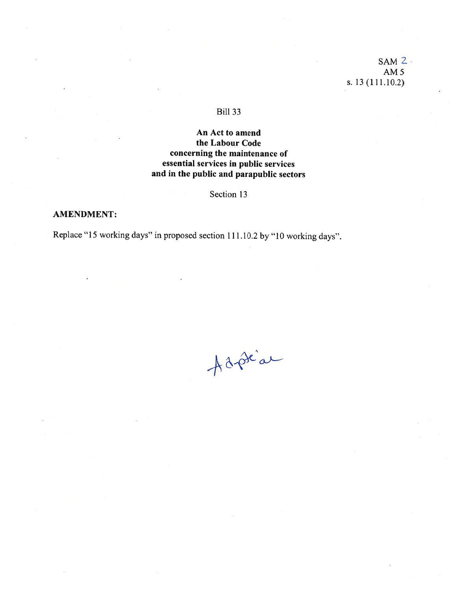# $SAM$   $2$ AM5 s. 13(111.10.2)

# **Bill 33**

# An Act to amend the Labour Code concerning the maintenance of essential services in public services and in the public and parapublic sectors

# Section 13

## AMENDMENT:

Replace "15 working days" in propose<sup>d</sup> section 111.10.2 by "10 working days".

Adrian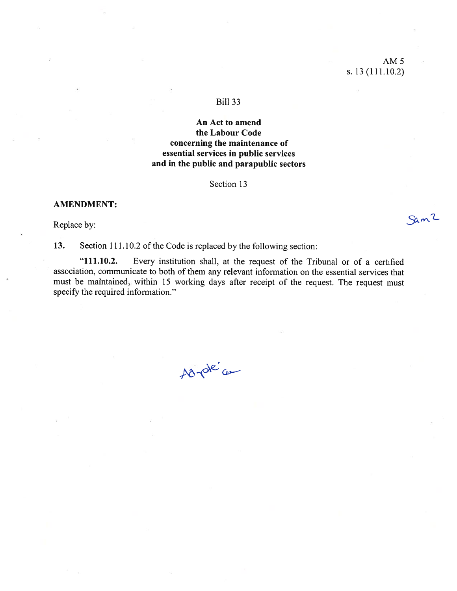# AM 5 s. 13(111.10.2)

Sam2

### BilI 33

## An Act to amend the Labour Code concerning the maintenance of essential services in public services and in the public and parapublic sectors

Section 13

### AMENDMENT:

Replace by:

13. Section 111.10.2 of the Code is replaced by the following section:

"111.10.2. Every institution shall, at the request of the Tribunal or of a certified association, communicate to both of them any relevant information on the essential services that must be maintained, within 15 working days after receipt of the request. The request must specify the required information."

Adroté ce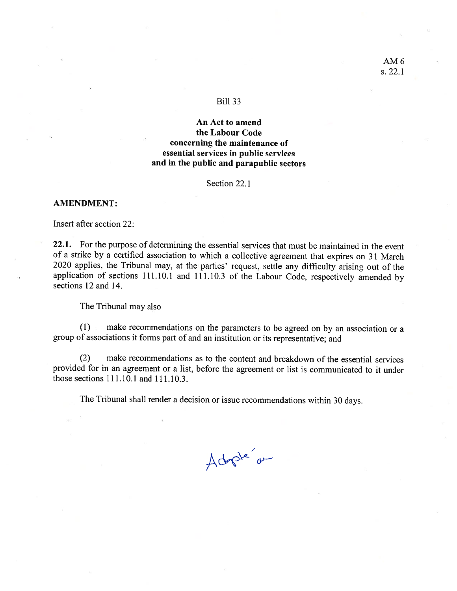### Bili 33

## An Act to amend the Labour Code concerning the maintenance of essential services in public services and in the public and parapublic sectors

Section 22.1

### AMENDMENT:

Insert after section 22:

22.1. For the purpose of determining the essential services that must be maintained in the event of a strike by a certified association to which a collective agreement that expires on 31 March <sup>2020</sup> applies, the Tribunal may, at the parties' request, settle any difficulty arising out of the application of sections 111.10.1 and 111.10.3 of the Labour Code, respectively amended by sections 12 and 14.

The Tribunal may also

(1) make recommendations on the parameters to be agreed on by an association or <sup>a</sup> group of associations it forms part of and an institution or its representative; and

(2) make recommendations as to the content and breakdown of the essential services provided for in an agreement or a list, before the agreement or list is communicated to it under those sections  $111.10.1$  and  $111.10.3$ .

The Tribunal shall render a decision or issue recommendations within 30 days.

Adopte o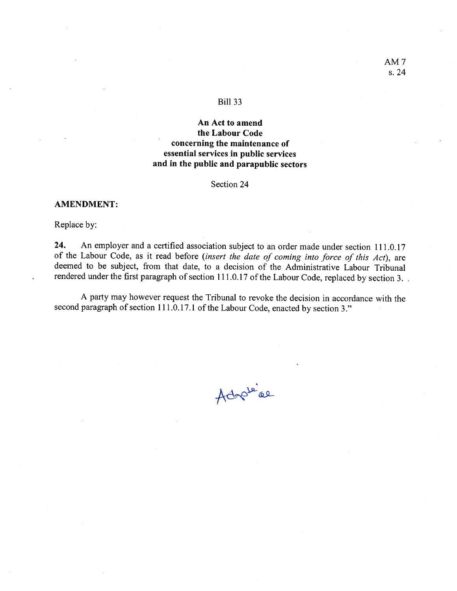### Bili 33

# An Act to amend the Labour Code concerning the maintenance of essential services in public services and in the public and parapublic sectors

Section 24

### AMENDMENT:

RepIace by:

24. An employer and a certified association subject to an order made under section 111.0.17 of the Labour Code, as it read before (insert the date of coming into force of this Act), are deemed to be subject, from that date, to <sup>a</sup> decision of the Administrative Labour Tribunal rendered under the first paragraph of section 111.0.17 of the Labour Code, replaced by section 3.

A party may however request the Tribunal to revoke the decision in accordance with the second paragraph of section 111.0.17.1 of the Labour Code, enacted by section 3."

Adopte're